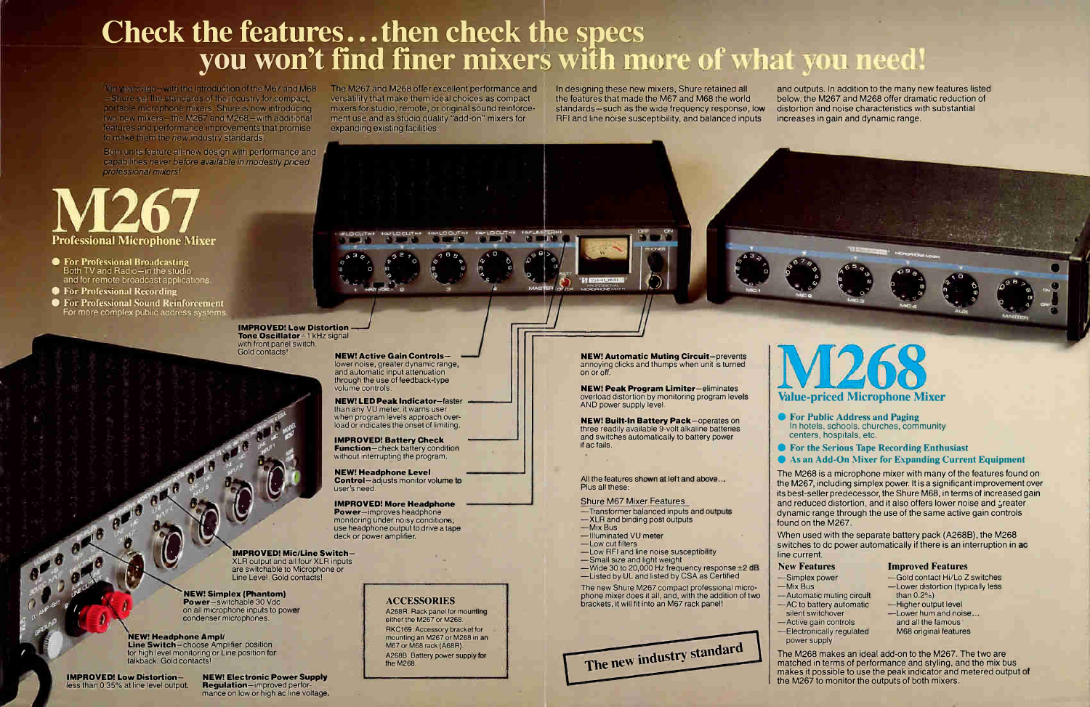# Check the features...then check the specs you won't find finer mixers with **r**

Ten years ago—with the introduction of the M67 and M68 —Shure set the standards of the industry for compact, portable microphone mixers. Shure is now introducing two new mixers—the M267 and M268—with additional features and performance improvements that promise to make them the new industry standards.

Both units feature all-new design with performance and capabilities never before available in modestly priced professional mixers!

- **For Professional Broadcasting** Both TV and Radio—in the studio and for remote broadcast applications.
- **For Professional Recording**
- **For Professional Sound Reinforcement** For more complex public address system

IMPROVED! Low Distortion Tone Oscillator-1 kHz signal with front panel switch.<br>Gold contacts!

# Professional Microphone Mixer

**NEW! Active Gain Controls** lower noise, greater dynamic range, and automatic input attenuation through the use of feedback-type volume controls.

The M267 and M268 offer excellent performance and versatility that make them ideal choices as compact mixers for studio, remote, or original sound reinforcement use and as studio quality "add-on" mixers for expanding existing facilities.

IMPROVED! Mic/Line Switch— XLR output and all four XLR inputs are switchable to Microphone or Line Level. Gold contacts!

IMPROVED! Low Distortion less than 0.35% at line level output.

NEW! LED Peak Indicator—faster than any VU meter, it warns user when program levels approach overload or indicates the onset of limiting.

IMPROVED! Battery Check Function—check battery condition without interrupting the program.

NEW! Headphone Level Control—adjusts monitor volume to user's need.

All the features shown at left and above... Plus all these:

IMPROVED! More Headphone Power—improves headphone monitoring under noisy conditions; use headphone output to drive a tape deck or power amplifier.

NEW! Simplex (Phantom) Power—switchable 30 Vdc on all microphone inputs to power condenser microphones.

#### **• For the Serious Tape Recording Enthusiast** As an Add -On Mixer for Expanding Current Equipment

NEW! Headphone Ampli Line Switch—choose Amplifier position for high level monitoring or Line position for talkback. Gold contacts!

> NEW! Electronic Power Supply Regulation—improved performance on low or high ac line voltage.

A268R: Rack panel for mounting either the M267 or M268. RKC169: Accessory bracket for mounting an M267 or M268 in an M67 or M68 rack (A68R). A268B: Battery power supply for

the M268.

**ACCESSORIES** 

In designing these new mixers, Shure retained all the features that made the M67 and M68 the world standards—such as the wide frequency response, low distortion and noise characteristics with substantial RFI and line noise susceptibility, and balanced inputs



#### NEW! Automatic Muting Circuit—prevents annoying clicks and thumps when unit is turned on or off.

NEW! Peak Program Limiter—eliminates overload distortion by monitoring program levels AND power supply level.

NEW! Built-In Battery Pack—operates on three readily available 9-volt alkaline batteries and switches automatically to battery power if ac fails.

#### Shure M67 Mixer Features

- —Transformer balanced inputs and outputs
- —XLR and binding post outputs
- —Mix Bus
- —Illuminated VU meter
- —Low cut filters —Low RFI and line noise susceptibility
- —Small size and light weight
- —Wide 30 to 20,000 Hz frequency response  $\pm 2$  dB
- —Listed by UL and listed by OSA as Certified

The new Shure M267 compact professional microphone mixer does it all, and, with the addition of two brackets, it will fit into an M67 rack panel!

The new industry standard



and outputs. In addition to the many new features listed below, the M267 and M268 offer dramatic reduction of increases in gain and dynamic range.



## **Value-priced Microphone Mixer**

### ● For Public Address and Paging

In hotels, schools. churches, community centers, hospitals, etc.

The M268 is a microphone mixer with many of the features found on the M267, including simplex power. It is a significant improvement over its best-seller predecessor, the Shure M68, in terms of increased gain and reduced distortion, and it also offers lower noise and greater dynamic range through the use of the same active gain controls found on the M267. When used with the separate battery pack (A268B), the M268 switches to dc power automatically if there is an interruption in ac line current. New Features Improved Features

—Simplex power —Mix Bus —Automatic muting circuit —AC to battery automatic silent switchover —Active gain controls —Electronically regulated power supply

The M268 makes an ideal add-on to the M267. The two are matched in terms of performance and styling, and the mix bus makes it possible to use the peak indicator and metered output of the M267 to monitor the outputs of both mixers.

—Gold contact Hi/Lo Z switches —Lower distortion (typically less than 0.2%)

- —Higher output level
- —Lower hum and noise... and all the famous' M68 original features